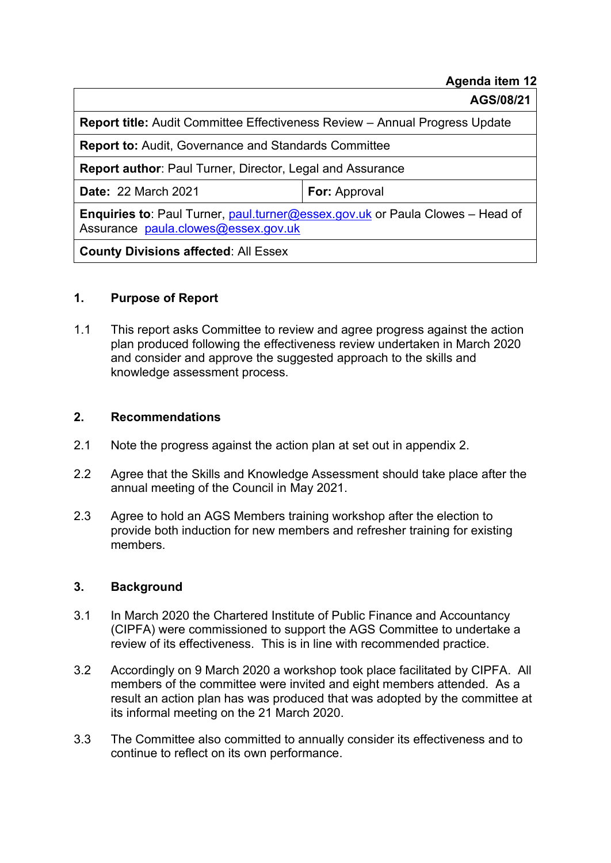#### **Agenda item 12**

**AGS/08/21** 

**Report title:** Audit Committee Effectiveness Review – Annual Progress Update

**Report to:** Audit, Governance and Standards Committee

**Report author**: Paul Turner, Director, Legal and Assurance

**Date:** 22 March 2021 **For:** Approval

**Enquiries to**: Paul Turner, [paul.turner@essex.gov.uk](mailto:paul.turner@essex.gov.uk) or Paula Clowes – Head of Assurance [paula.clowes@essex.gov.uk](mailto:paula.clowes@essex.gov.uk)

**County Divisions affected**: All Essex

#### **1. Purpose of Report**

1.1 This report asks Committee to review and agree progress against the action plan produced following the effectiveness review undertaken in March 2020 and consider and approve the suggested approach to the skills and knowledge assessment process.

#### **2. Recommendations**

- 2.1 Note the progress against the action plan at set out in appendix 2.
- 2.2 Agree that the Skills and Knowledge Assessment should take place after the annual meeting of the Council in May 2021.
- 2.3 Agree to hold an AGS Members training workshop after the election to provide both induction for new members and refresher training for existing members.

#### **3. Background**

- 3.1 In March 2020 the Chartered Institute of Public Finance and Accountancy (CIPFA) were commissioned to support the AGS Committee to undertake a review of its effectiveness. This is in line with recommended practice.
- 3.2 Accordingly on 9 March 2020 a workshop took place facilitated by CIPFA. All members of the committee were invited and eight members attended. As a result an action plan has was produced that was adopted by the committee at its informal meeting on the 21 March 2020.
- 3.3 The Committee also committed to annually consider its effectiveness and to continue to reflect on its own performance.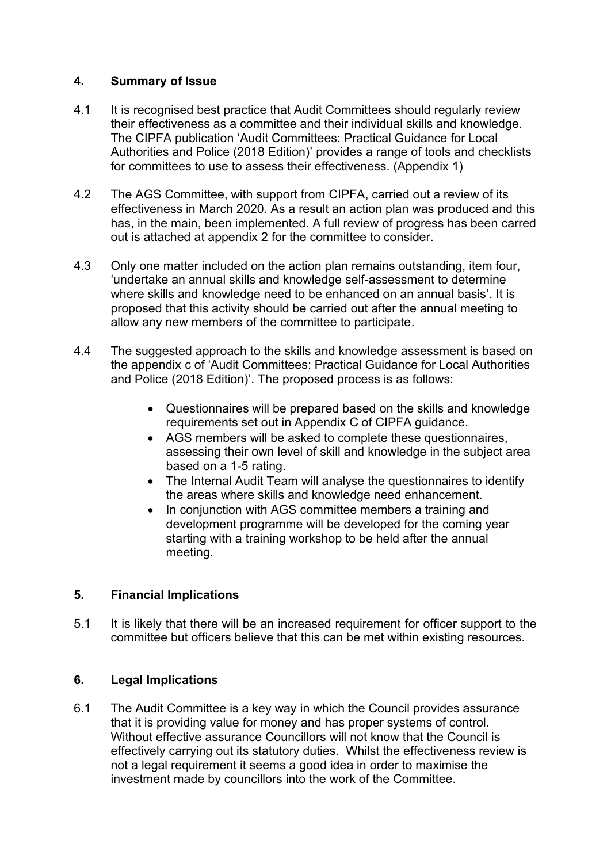### **4. Summary of Issue**

- 4.1 It is recognised best practice that Audit Committees should regularly review their effectiveness as a committee and their individual skills and knowledge. The CIPFA publication 'Audit Committees: Practical Guidance for Local Authorities and Police (2018 Edition)' provides a range of tools and checklists for committees to use to assess their effectiveness. (Appendix 1)
- 4.2 The AGS Committee, with support from CIPFA, carried out a review of its effectiveness in March 2020. As a result an action plan was produced and this has, in the main, been implemented. A full review of progress has been carred out is attached at appendix 2 for the committee to consider.
- 4.3 Only one matter included on the action plan remains outstanding, item four, 'undertake an annual skills and knowledge self-assessment to determine where skills and knowledge need to be enhanced on an annual basis'. It is proposed that this activity should be carried out after the annual meeting to allow any new members of the committee to participate.
- 4.4 The suggested approach to the skills and knowledge assessment is based on the appendix c of 'Audit Committees: Practical Guidance for Local Authorities and Police (2018 Edition)'. The proposed process is as follows:
	- Questionnaires will be prepared based on the skills and knowledge requirements set out in Appendix C of CIPFA guidance.
	- AGS members will be asked to complete these questionnaires. assessing their own level of skill and knowledge in the subject area based on a 1-5 rating.
	- The Internal Audit Team will analyse the questionnaires to identify the areas where skills and knowledge need enhancement.
	- In conjunction with AGS committee members a training and development programme will be developed for the coming year starting with a training workshop to be held after the annual meeting.

### **5. Financial Implications**

5.1 It is likely that there will be an increased requirement for officer support to the committee but officers believe that this can be met within existing resources.

### **6. Legal Implications**

6.1 The Audit Committee is a key way in which the Council provides assurance that it is providing value for money and has proper systems of control. Without effective assurance Councillors will not know that the Council is effectively carrying out its statutory duties. Whilst the effectiveness review is not a legal requirement it seems a good idea in order to maximise the investment made by councillors into the work of the Committee.